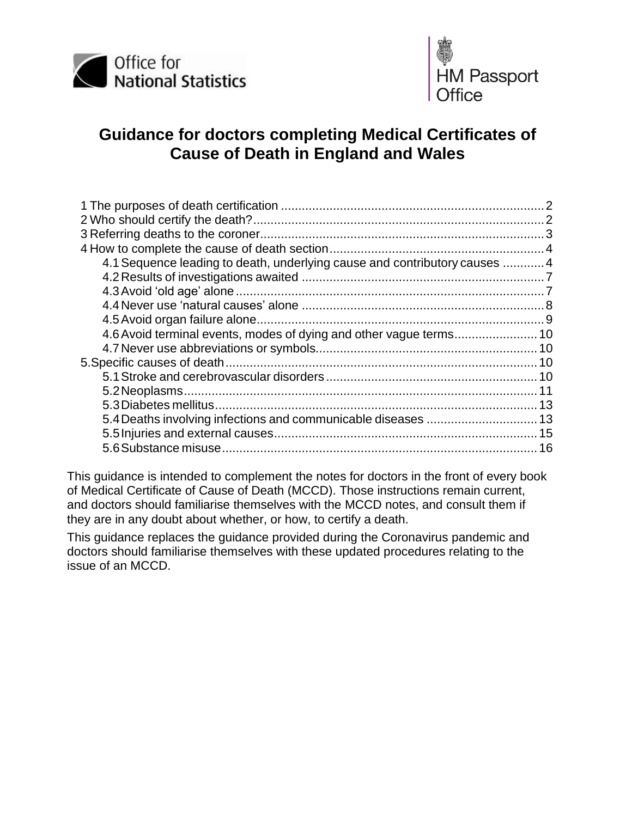



# **Guidance for doctors completing Medical Certificates of Cause of Death in England and Wales**

| 4.1 Sequence leading to death, underlying cause and contributory causes  4 |  |
|----------------------------------------------------------------------------|--|
|                                                                            |  |
|                                                                            |  |
|                                                                            |  |
|                                                                            |  |
|                                                                            |  |
|                                                                            |  |
|                                                                            |  |
|                                                                            |  |
|                                                                            |  |
|                                                                            |  |
|                                                                            |  |
|                                                                            |  |
|                                                                            |  |

This guidance is intended to complement the notes for doctors in the front of every book of Medical Certificate of Cause of Death (MCCD). Those instructions remain current, and doctors should familiarise themselves with the MCCD notes, and consult them if they are in any doubt about whether, or how, to certify a death.

This guidance replaces the guidance provided during the Coronavirus pandemic and doctors should familiarise themselves with these updated procedures relating to the issue of an MCCD.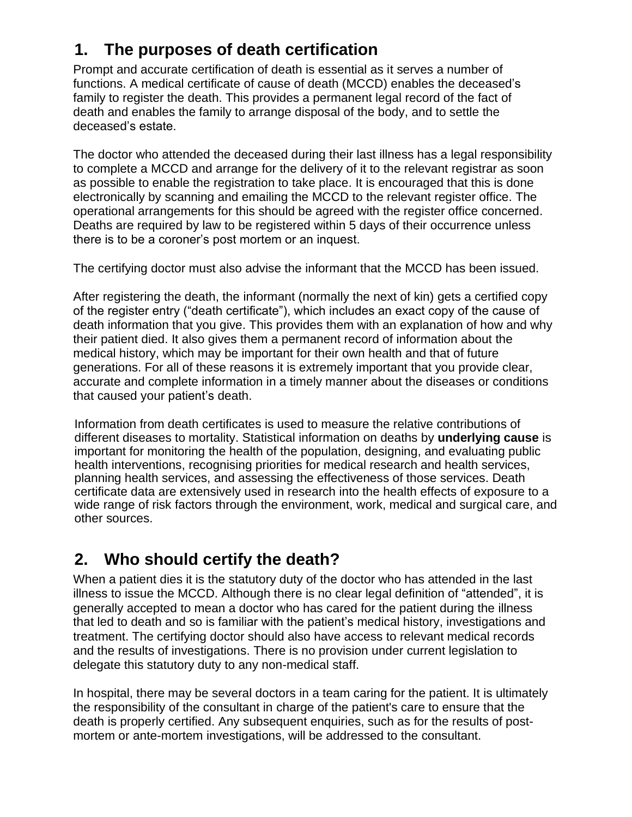# <span id="page-1-0"></span>**1. The purposes of death certification**

Prompt and accurate certification of death is essential as it serves a number of functions. A medical certificate of cause of death (MCCD) enables the deceased's family to register the death. This provides a permanent legal record of the fact of death and enables the family to arrange disposal of the body, and to settle the deceased's estate.

The doctor who attended the deceased during their last illness has a legal responsibility to complete a MCCD and arrange for the delivery of it to the relevant registrar as soon as possible to enable the registration to take place. It is encouraged that this is done electronically by scanning and emailing the MCCD to the relevant register office. The operational arrangements for this should be agreed with the register office concerned. Deaths are required by law to be registered within 5 days of their occurrence unless there is to be a coroner's post mortem or an inquest.

The certifying doctor must also advise the informant that the MCCD has been issued.

After registering the death, the informant (normally the next of kin) gets a certified copy of the register entry ("death certificate"), which includes an exact copy of the cause of death information that you give. This provides them with an explanation of how and why their patient died. It also gives them a permanent record of information about the medical history, which may be important for their own health and that of future generations. For all of these reasons it is extremely important that you provide clear, accurate and complete information in a timely manner about the diseases or conditions that caused your patient's death.

Information from death certificates is used to measure the relative contributions of different diseases to mortality. Statistical information on deaths by **underlying cause** is important for monitoring the health of the population, designing, and evaluating public health interventions, recognising priorities for medical research and health services, planning health services, and assessing the effectiveness of those services. Death certificate data are extensively used in research into the health effects of exposure to a wide range of risk factors through the environment, work, medical and surgical care, and other sources.

# <span id="page-1-1"></span>**2. Who should certify the death?**

When a patient dies it is the statutory duty of the doctor who has attended in the last illness to issue the MCCD. Although there is no clear legal definition of "attended", it is generally accepted to mean a doctor who has cared for the patient during the illness that led to death and so is familiar with the patient's medical history, investigations and treatment. The certifying doctor should also have access to relevant medical records and the results of investigations. There is no provision under current legislation to delegate this statutory duty to any non-medical staff.

In hospital, there may be several doctors in a team caring for the patient. It is ultimately the responsibility of the consultant in charge of the patient's care to ensure that the death is properly certified. Any subsequent enquiries, such as for the results of postmortem or ante-mortem investigations, will be addressed to the consultant.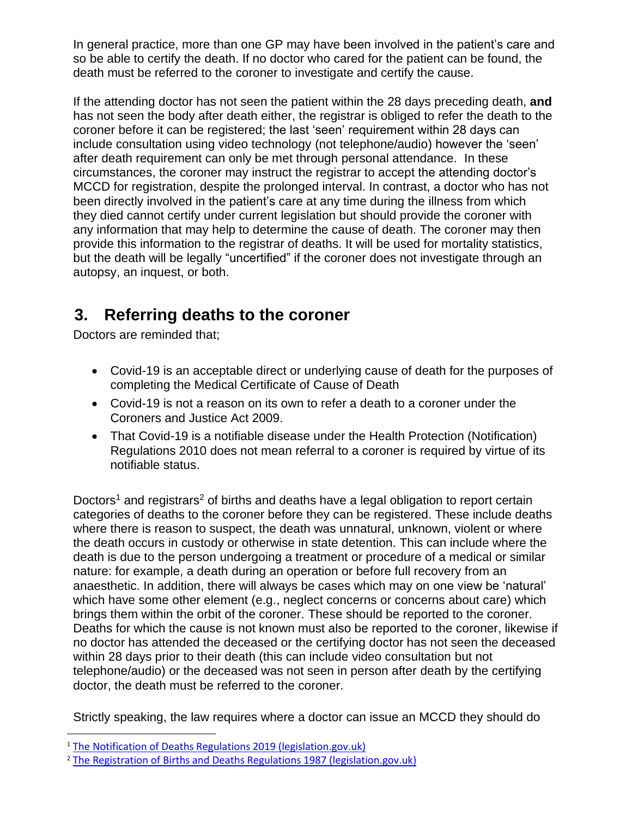In general practice, more than one GP may have been involved in the patient's care and so be able to certify the death. If no doctor who cared for the patient can be found, the death must be referred to the coroner to investigate and certify the cause.

If the attending doctor has not seen the patient within the 28 days preceding death, **and** has not seen the body after death either, the registrar is obliged to refer the death to the coroner before it can be registered; the last 'seen' requirement within 28 days can include consultation using video technology (not telephone/audio) however the 'seen' after death requirement can only be met through personal attendance. In these circumstances, the coroner may instruct the registrar to accept the attending doctor's MCCD for registration, despite the prolonged interval. In contrast, a doctor who has not been directly involved in the patient's care at any time during the illness from which they died cannot certify under current legislation but should provide the coroner with any information that may help to determine the cause of death. The coroner may then provide this information to the registrar of deaths. It will be used for mortality statistics, but the death will be legally "uncertified" if the coroner does not investigate through an autopsy, an inquest, or both.

# <span id="page-2-0"></span>**3. Referring deaths to the coroner**

Doctors are reminded that;

- Covid-19 is an acceptable direct or underlying cause of death for the purposes of completing the Medical Certificate of Cause of Death
- Covid-19 is not a reason on its own to refer a death to a coroner under the Coroners and Justice Act 2009.
- That Covid-19 is a notifiable disease under the Health Protection (Notification) Regulations 2010 does not mean referral to a coroner is required by virtue of its notifiable status.

Doctors<sup>1</sup> and registrars<sup>2</sup> of births and deaths have a legal obligation to report certain categories of deaths to the coroner before they can be registered. These include deaths where there is reason to suspect, the death was unnatural, unknown, violent or where the death occurs in custody or otherwise in state detention. This can include where the death is due to the person undergoing a treatment or procedure of a medical or similar nature: for example, a death during an operation or before full recovery from an anaesthetic. In addition, there will always be cases which may on one view be 'natural' which have some other element (e.g., neglect concerns or concerns about care) which brings them within the orbit of the coroner. These should be reported to the coroner. Deaths for which the cause is not known must also be reported to the coroner, likewise if no doctor has attended the deceased or the certifying doctor has not seen the deceased within 28 days prior to their death (this can include video consultation but not telephone/audio) or the deceased was not seen in person after death by the certifying doctor, the death must be referred to the coroner.

Strictly speaking, the law requires where a doctor can issue an MCCD they should do

<sup>&</sup>lt;sup>1</sup> [The Notification of Deaths Regulations 2019 \(legislation.gov.uk\)](https://www.legislation.gov.uk/uksi/2019/1112/made)

<sup>&</sup>lt;sup>2</sup> [The Registration of Births and Deaths Regulations 1987 \(legislation.gov.uk\)](https://www.legislation.gov.uk/uksi/1987/2088/contents)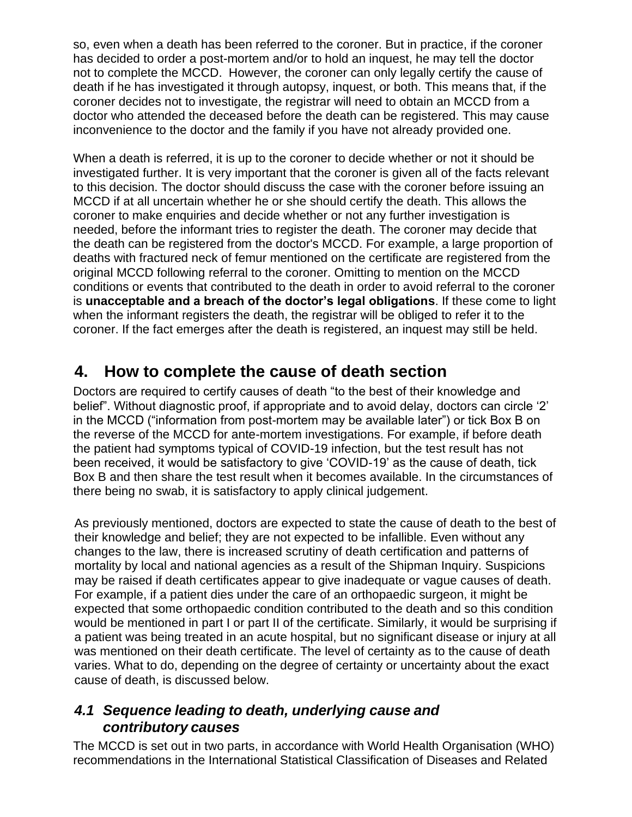so, even when a death has been referred to the coroner. But in practice, if the coroner has decided to order a post-mortem and/or to hold an inquest, he may tell the doctor not to complete the MCCD. However, the coroner can only legally certify the cause of death if he has investigated it through autopsy, inquest, or both. This means that, if the coroner decides not to investigate, the registrar will need to obtain an MCCD from a doctor who attended the deceased before the death can be registered. This may cause inconvenience to the doctor and the family if you have not already provided one.

When a death is referred, it is up to the coroner to decide whether or not it should be investigated further. It is very important that the coroner is given all of the facts relevant to this decision. The doctor should discuss the case with the coroner before issuing an MCCD if at all uncertain whether he or she should certify the death. This allows the coroner to make enquiries and decide whether or not any further investigation is needed, before the informant tries to register the death. The coroner may decide that the death can be registered from the doctor's MCCD. For example, a large proportion of deaths with fractured neck of femur mentioned on the certificate are registered from the original MCCD following referral to the coroner. Omitting to mention on the MCCD conditions or events that contributed to the death in order to avoid referral to the coroner is **unacceptable and a breach of the doctor's legal obligations**. If these come to light when the informant registers the death, the registrar will be obliged to refer it to the coroner. If the fact emerges after the death is registered, an inquest may still be held.

# <span id="page-3-0"></span>**4. How to complete the cause of death section**

Doctors are required to certify causes of death "to the best of their knowledge and belief". Without diagnostic proof, if appropriate and to avoid delay, doctors can circle '2' in the MCCD ("information from post-mortem may be available later") or tick Box B on the reverse of the MCCD for ante-mortem investigations. For example, if before death the patient had symptoms typical of COVID-19 infection, but the test result has not been received, it would be satisfactory to give 'COVID-19' as the cause of death, tick Box B and then share the test result when it becomes available. In the circumstances of there being no swab, it is satisfactory to apply clinical judgement.

As previously mentioned, doctors are expected to state the cause of death to the best of their knowledge and belief; they are not expected to be infallible. Even without any changes to the law, there is increased scrutiny of death certification and patterns of mortality by local and national agencies as a result of the Shipman Inquiry. Suspicions may be raised if death certificates appear to give inadequate or vague causes of death. For example, if a patient dies under the care of an orthopaedic surgeon, it might be expected that some orthopaedic condition contributed to the death and so this condition would be mentioned in part I or part II of the certificate. Similarly, it would be surprising if a patient was being treated in an acute hospital, but no significant disease or injury at all was mentioned on their death certificate. The level of certainty as to the cause of death varies. What to do, depending on the degree of certainty or uncertainty about the exact cause of death, is discussed below.

## <span id="page-3-1"></span>*4.1 Sequence leading to death, underlying cause and contributory causes*

The MCCD is set out in two parts, in accordance with World Health Organisation (WHO) recommendations in the International Statistical Classification of Diseases and Related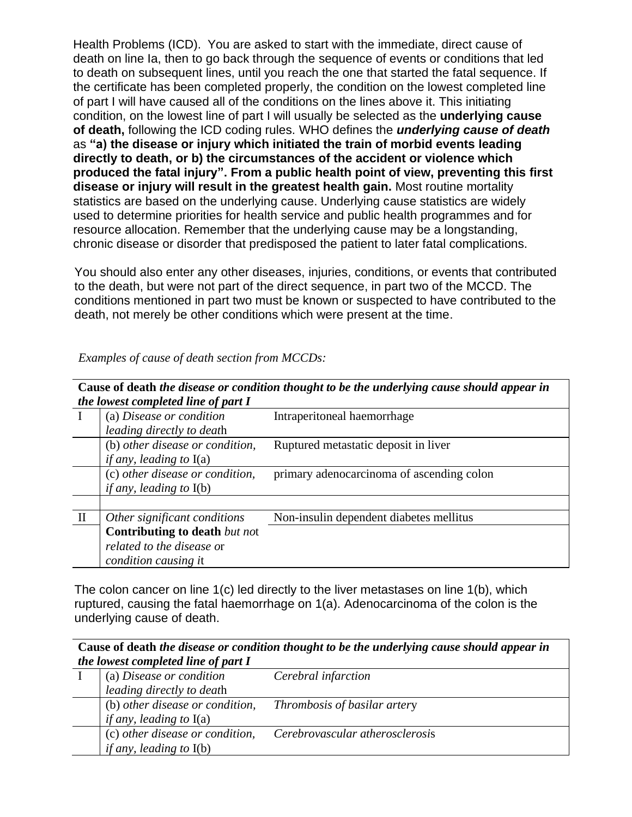Health Problems (ICD). You are asked to start with the immediate, direct cause of death on line Ia, then to go back through the sequence of events or conditions that led to death on subsequent lines, until you reach the one that started the fatal sequence. If the certificate has been completed properly, the condition on the lowest completed line of part I will have caused all of the conditions on the lines above it. This initiating condition, on the lowest line of part I will usually be selected as the **underlying cause of death,** following the ICD coding rules. WHO defines the *underlying cause of death*  as **"a) the disease or injury which initiated the train of morbid events leading directly to death, or b) the circumstances of the accident or violence which produced the fatal injury". From a public health point of view, preventing this first disease or injury will result in the greatest health gain.** Most routine mortality statistics are based on the underlying cause. Underlying cause statistics are widely used to determine priorities for health service and public health programmes and for resource allocation. Remember that the underlying cause may be a longstanding, chronic disease or disorder that predisposed the patient to later fatal complications.

You should also enter any other diseases, injuries, conditions, or events that contributed to the death, but were not part of the direct sequence, in part two of the MCCD. The conditions mentioned in part two must be known or suspected to have contributed to the death, not merely be other conditions which were present at the time.

| Cause of death the disease or condition thought to be the underlying cause should appear in<br>the lowest completed line of part I |                                      |                                           |  |  |
|------------------------------------------------------------------------------------------------------------------------------------|--------------------------------------|-------------------------------------------|--|--|
|                                                                                                                                    |                                      |                                           |  |  |
|                                                                                                                                    | leading directly to death            |                                           |  |  |
|                                                                                                                                    | (b) other disease or condition,      | Ruptured metastatic deposit in liver      |  |  |
|                                                                                                                                    | <i>if any, leading to</i> $I(a)$     |                                           |  |  |
|                                                                                                                                    | (c) other disease or condition,      | primary adenocarcinoma of ascending colon |  |  |
|                                                                                                                                    | <i>if any, leading to</i> $I(b)$     |                                           |  |  |
|                                                                                                                                    |                                      |                                           |  |  |
| $\mathbf{I}$                                                                                                                       | Other significant conditions         | Non-insulin dependent diabetes mellitus   |  |  |
|                                                                                                                                    | <b>Contributing to death but not</b> |                                           |  |  |
|                                                                                                                                    | related to the disease or            |                                           |  |  |
|                                                                                                                                    | <i>condition causing it</i>          |                                           |  |  |

*Examples of cause of death section from MCCDs:*

The colon cancer on line 1(c) led directly to the liver metastases on line 1(b), which ruptured, causing the fatal haemorrhage on 1(a). Adenocarcinoma of the colon is the underlying cause of death.

**Cause of death** *the disease or condition thought to be the underlying cause should appear in the lowest completed line of part I*

| (a) Disease or condition<br>leading directly to death               | Cerebral infarction                 |
|---------------------------------------------------------------------|-------------------------------------|
| (b) other disease or condition,<br><i>if any, leading to</i> $I(a)$ | <i>Thrombosis of basilar artery</i> |
| (c) other disease or condition,<br><i>if any, leading to</i> $I(b)$ | Cerebrovascular atherosclerosis     |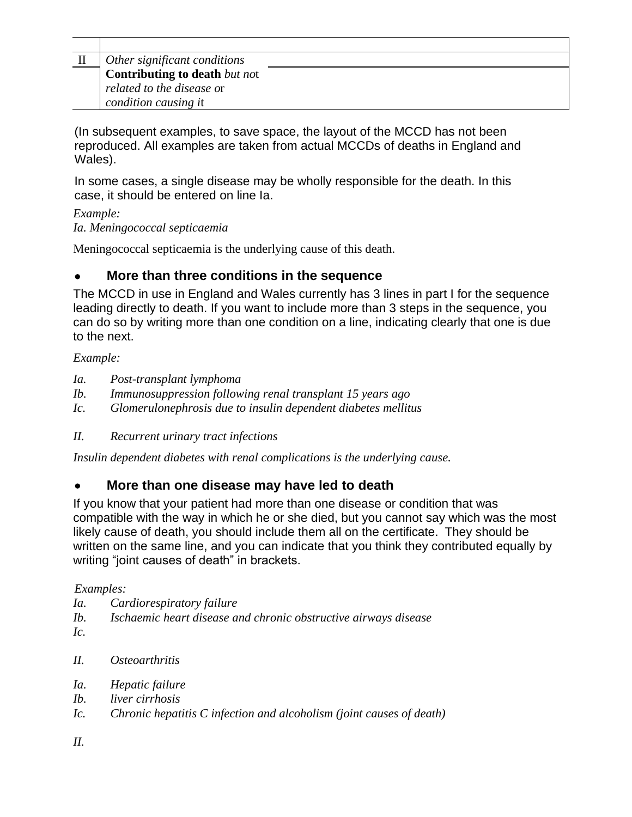| Other significant conditions         |
|--------------------------------------|
| <b>Contributing to death</b> but not |
| related to the disease or            |
| condition causing it                 |

(In subsequent examples, to save space, the layout of the MCCD has not been reproduced. All examples are taken from actual MCCDs of deaths in England and Wales).

In some cases, a single disease may be wholly responsible for the death. In this case, it should be entered on line Ia.

*Example: Ia. Meningococcal septicaemia*

Meningococcal septicaemia is the underlying cause of this death.

### • **More than three conditions in the sequence**

The MCCD in use in England and Wales currently has 3 lines in part I for the sequence leading directly to death. If you want to include more than 3 steps in the sequence, you can do so by writing more than one condition on a line, indicating clearly that one is due to the next.

#### *Example:*

- *Ia. Post-transplant lymphoma*
- *Ib. Immunosuppression following renal transplant 15 years ago*
- *Ic. Glomerulonephrosis due to insulin dependent diabetes mellitus*
- *II. Recurrent urinary tract infections*

*Insulin dependent diabetes with renal complications is the underlying cause.*

## • **More than one disease may have led to death**

If you know that your patient had more than one disease or condition that was compatible with the way in which he or she died, but you cannot say which was the most likely cause of death, you should include them all on the certificate. They should be written on the same line, and you can indicate that you think they contributed equally by writing "joint causes of death" in brackets.

### *Examples:*

- *Ia. Cardiorespiratory failure*
- *Ib. Ischaemic heart disease and chronic obstructive airways disease*
- *Ic.*
- *II. Osteoarthritis*
- *Ia. Hepatic failure*
- *Ib. liver cirrhosis*
- *Ic. Chronic hepatitis C infection and alcoholism (joint causes of death)*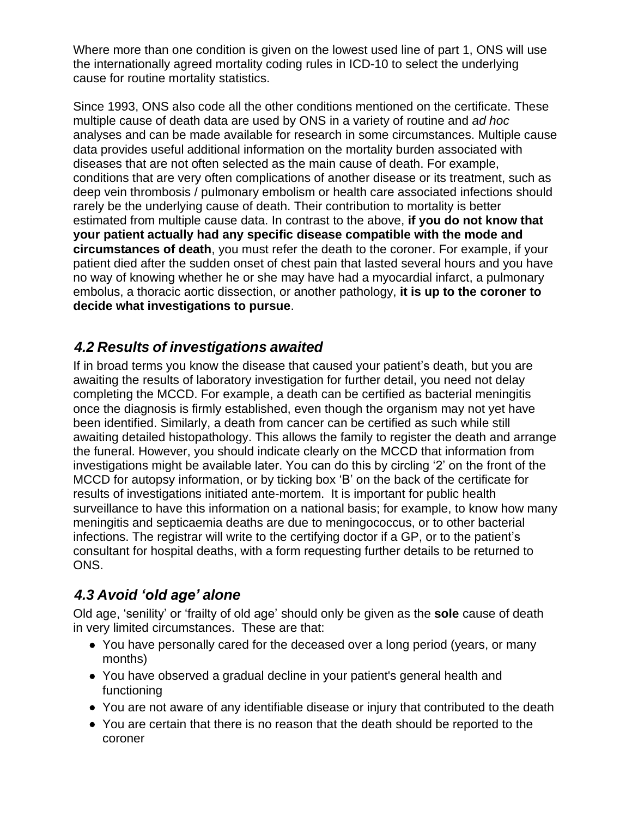Where more than one condition is given on the lowest used line of part 1, ONS will use the internationally agreed mortality coding rules in ICD-10 to select the underlying cause for routine mortality statistics.

Since 1993, ONS also code all the other conditions mentioned on the certificate. These multiple cause of death data are used by ONS in a variety of routine and *ad hoc*  analyses and can be made available for research in some circumstances. Multiple cause data provides useful additional information on the mortality burden associated with diseases that are not often selected as the main cause of death. For example, conditions that are very often complications of another disease or its treatment, such as deep vein thrombosis / pulmonary embolism or health care associated infections should rarely be the underlying cause of death. Their contribution to mortality is better estimated from multiple cause data. In contrast to the above, **if you do not know that your patient actually had any specific disease compatible with the mode and circumstances of death**, you must refer the death to the coroner. For example, if your patient died after the sudden onset of chest pain that lasted several hours and you have no way of knowing whether he or she may have had a myocardial infarct, a pulmonary embolus, a thoracic aortic dissection, or another pathology, **it is up to the coroner to decide what investigations to pursue**.

# <span id="page-6-0"></span>*4.2 Results of investigations awaited*

If in broad terms you know the disease that caused your patient's death, but you are awaiting the results of laboratory investigation for further detail, you need not delay completing the MCCD. For example, a death can be certified as bacterial meningitis once the diagnosis is firmly established, even though the organism may not yet have been identified. Similarly, a death from cancer can be certified as such while still awaiting detailed histopathology. This allows the family to register the death and arrange the funeral. However, you should indicate clearly on the MCCD that information from investigations might be available later. You can do this by circling '2' on the front of the MCCD for autopsy information, or by ticking box 'B' on the back of the certificate for results of investigations initiated ante-mortem. It is important for public health surveillance to have this information on a national basis; for example, to know how many meningitis and septicaemia deaths are due to meningococcus, or to other bacterial infections. The registrar will write to the certifying doctor if a GP, or to the patient's consultant for hospital deaths, with a form requesting further details to be returned to ONS.

# <span id="page-6-1"></span>*4.3 Avoid 'old age' alone*

Old age, 'senility' or 'frailty of old age' should only be given as the **sole** cause of death in very limited circumstances. These are that:

- You have personally cared for the deceased over a long period (years, or many months)
- You have observed a gradual decline in your patient's general health and functioning
- You are not aware of any identifiable disease or injury that contributed to the death
- You are certain that there is no reason that the death should be reported to the coroner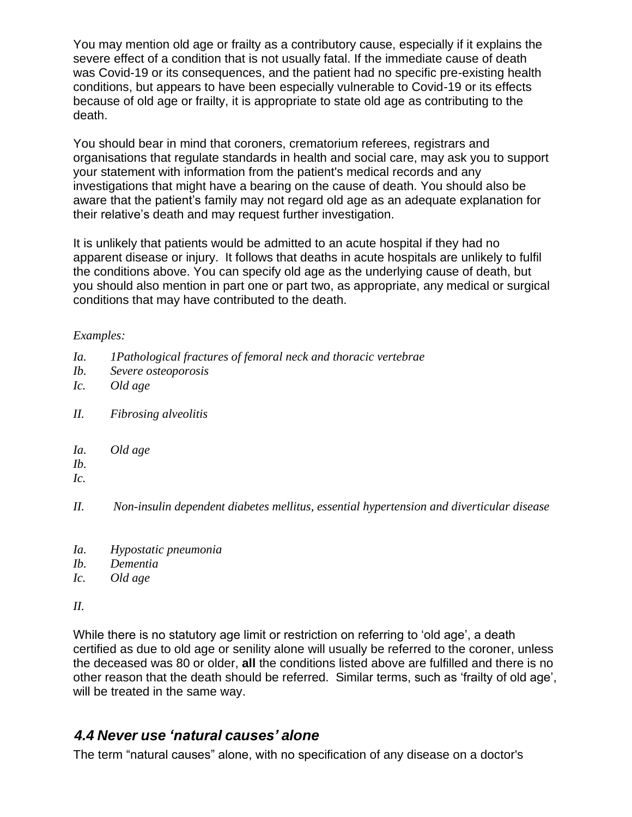You may mention old age or frailty as a contributory cause, especially if it explains the severe effect of a condition that is not usually fatal. If the immediate cause of death was Covid-19 or its consequences, and the patient had no specific pre-existing health conditions, but appears to have been especially vulnerable to Covid-19 or its effects because of old age or frailty, it is appropriate to state old age as contributing to the death.

You should bear in mind that coroners, crematorium referees, registrars and organisations that regulate standards in health and social care, may ask you to support your statement with information from the patient's medical records and any investigations that might have a bearing on the cause of death. You should also be aware that the patient's family may not regard old age as an adequate explanation for their relative's death and may request further investigation.

It is unlikely that patients would be admitted to an acute hospital if they had no apparent disease or injury. It follows that deaths in acute hospitals are unlikely to fulfil the conditions above. You can specify old age as the underlying cause of death, but you should also mention in part one or part two, as appropriate, any medical or surgical conditions that may have contributed to the death.

#### *Examples:*

- *Ia. 1Pathological fractures of femoral neck and thoracic vertebrae*
- *Ib. Severe osteoporosis*
- *Ic. Old age*
- *II. Fibrosing alveolitis*
- *Ia. Old age*
- *Ib.*
- *Ic.*
- *II. Non-insulin dependent diabetes mellitus, essential hypertension and diverticular disease*
- *Ia. Hypostatic pneumonia*
- *Ib. Dementia*
- *Ic. Old age*

*II.*

While there is no statutory age limit or restriction on referring to 'old age', a death certified as due to old age or senility alone will usually be referred to the coroner, unless the deceased was 80 or older, **all** the conditions listed above are fulfilled and there is no other reason that the death should be referred. Similar terms, such as 'frailty of old age', will be treated in the same way.

### <span id="page-7-0"></span>*4.4 Never use 'natural causes' alone*

The term "natural causes" alone, with no specification of any disease on a doctor's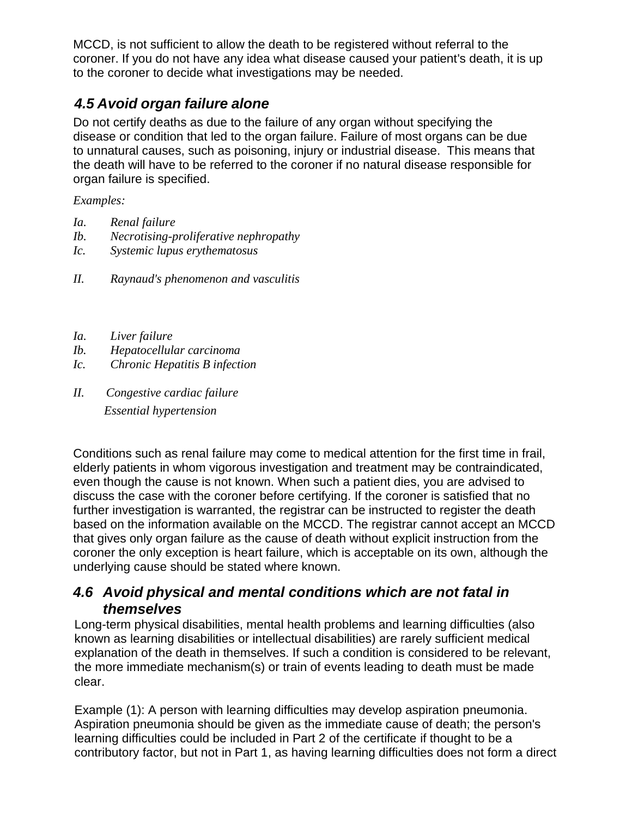MCCD, is not sufficient to allow the death to be registered without referral to the coroner. If you do not have any idea what disease caused your patient's death, it is up to the coroner to decide what investigations may be needed.

# <span id="page-8-0"></span>*4.5 Avoid organ failure alone*

Do not certify deaths as due to the failure of any organ without specifying the disease or condition that led to the organ failure. Failure of most organs can be due to unnatural causes, such as poisoning, injury or industrial disease. This means that the death will have to be referred to the coroner if no natural disease responsible for organ failure is specified.

*Examples:*

- *Ia. Renal failure*
- *Ib. Necrotising-proliferative nephropathy*
- *Ic. Systemic lupus erythematosus*
- *II. Raynaud's phenomenon and vasculitis*
- *Ia. Liver failure*
- *Ib. Hepatocellular carcinoma*
- *Ic. Chronic Hepatitis B infection*
- *II. Congestive cardiac failure Essential hypertension*

Conditions such as renal failure may come to medical attention for the first time in frail, elderly patients in whom vigorous investigation and treatment may be contraindicated, even though the cause is not known. When such a patient dies, you are advised to discuss the case with the coroner before certifying. If the coroner is satisfied that no further investigation is warranted, the registrar can be instructed to register the death based on the information available on the MCCD. The registrar cannot accept an MCCD that gives only organ failure as the cause of death without explicit instruction from the coroner the only exception is heart failure, which is acceptable on its own, although the underlying cause should be stated where known.

### *4.6 Avoid physical and mental conditions which are not fatal in themselves*

Long-term physical disabilities, mental health problems and learning difficulties (also known as learning disabilities or intellectual disabilities) are rarely sufficient medical explanation of the death in themselves. If such a condition is considered to be relevant, the more immediate mechanism(s) or train of events leading to death must be made clear.

Example (1): A person with learning difficulties may develop aspiration pneumonia. Aspiration pneumonia should be given as the immediate cause of death; the person's learning difficulties could be included in Part 2 of the certificate if thought to be a contributory factor, but not in Part 1, as having learning difficulties does not form a direct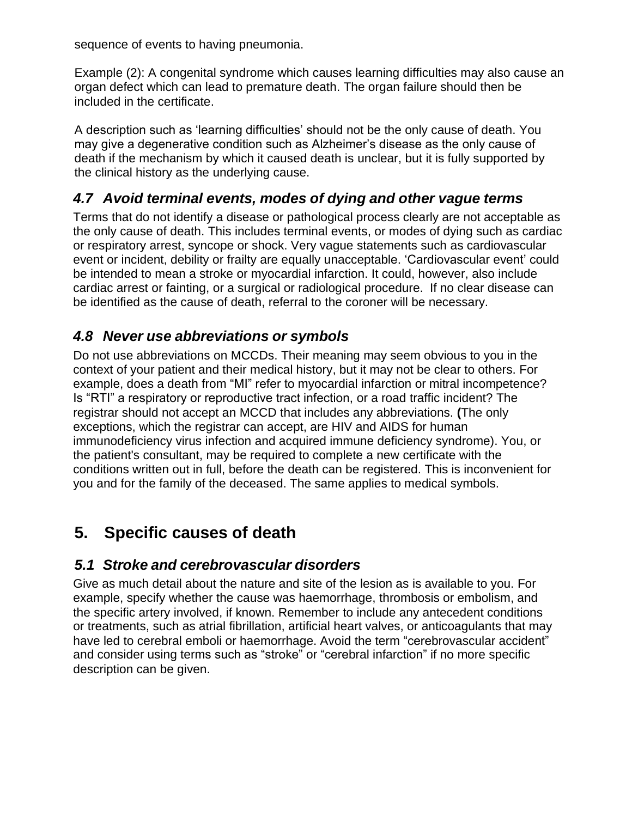sequence of events to having pneumonia.

Example (2): A congenital syndrome which causes learning difficulties may also cause an organ defect which can lead to premature death. The organ failure should then be included in the certificate.

A description such as 'learning difficulties' should not be the only cause of death. You may give a degenerative condition such as Alzheimer's disease as the only cause of death if the mechanism by which it caused death is unclear, but it is fully supported by the clinical history as the underlying cause.

## <span id="page-9-0"></span>*4.7 Avoid terminal events, modes of dying and other vague terms*

Terms that do not identify a disease or pathological process clearly are not acceptable as the only cause of death. This includes terminal events, or modes of dying such as cardiac or respiratory arrest, syncope or shock. Very vague statements such as cardiovascular event or incident, debility or frailty are equally unacceptable. 'Cardiovascular event' could be intended to mean a stroke or myocardial infarction. It could, however, also include cardiac arrest or fainting, or a surgical or radiological procedure. If no clear disease can be identified as the cause of death, referral to the coroner will be necessary.

# <span id="page-9-1"></span>*4.8 Never use abbreviations or symbols*

Do not use abbreviations on MCCDs. Their meaning may seem obvious to you in the context of your patient and their medical history, but it may not be clear to others. For example, does a death from "MI" refer to myocardial infarction or mitral incompetence? Is "RTI" a respiratory or reproductive tract infection, or a road traffic incident? The registrar should not accept an MCCD that includes any abbreviations. **(**The only exceptions, which the registrar can accept, are HIV and AIDS for human immunodeficiency virus infection and acquired immune deficiency syndrome). You, or the patient's consultant, may be required to complete a new certificate with the conditions written out in full, before the death can be registered. This is inconvenient for you and for the family of the deceased. The same applies to medical symbols.

# <span id="page-9-2"></span>**5. Specific causes of death**

# <span id="page-9-3"></span>*5.1 Stroke and cerebrovascular disorders*

Give as much detail about the nature and site of the lesion as is available to you. For example, specify whether the cause was haemorrhage, thrombosis or embolism, and the specific artery involved, if known. Remember to include any antecedent conditions or treatments, such as atrial fibrillation, artificial heart valves, or anticoagulants that may have led to cerebral emboli or haemorrhage. Avoid the term "cerebrovascular accident" and consider using terms such as "stroke" or "cerebral infarction" if no more specific description can be given.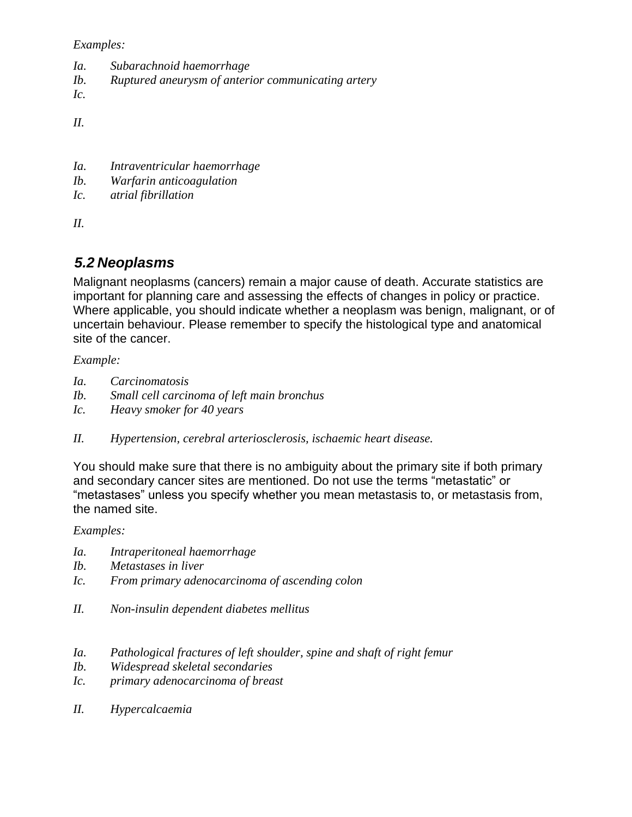*Examples:*

- *Ia. Subarachnoid haemorrhage*
- *Ib. Ruptured aneurysm of anterior communicating artery*

*Ic.*

*II.*

- *Ia. Intraventricular haemorrhage*
- *Ib. Warfarin anticoagulation*
- *Ic. atrial fibrillation*

*II.*

### <span id="page-10-0"></span>*5.2 Neoplasms*

Malignant neoplasms (cancers) remain a major cause of death. Accurate statistics are important for planning care and assessing the effects of changes in policy or practice. Where applicable, you should indicate whether a neoplasm was benign, malignant, or of uncertain behaviour. Please remember to specify the histological type and anatomical site of the cancer.

#### *Example:*

- *Ia. Carcinomatosis*
- *Ib. Small cell carcinoma of left main bronchus*
- *Ic. Heavy smoker for 40 years*
- *II. Hypertension, cerebral arteriosclerosis, ischaemic heart disease.*

You should make sure that there is no ambiguity about the primary site if both primary and secondary cancer sites are mentioned. Do not use the terms "metastatic" or "metastases" unless you specify whether you mean metastasis to, or metastasis from, the named site.

#### *Examples:*

- *Ia. Intraperitoneal haemorrhage*
- *Ib. Metastases in liver*
- *Ic. From primary adenocarcinoma of ascending colon*
- *II. Non-insulin dependent diabetes mellitus*
- *Ia. Pathological fractures of left shoulder, spine and shaft of right femur*
- *Ib. Widespread skeletal secondaries*
- *Ic. primary adenocarcinoma of breast*
- *II. Hypercalcaemia*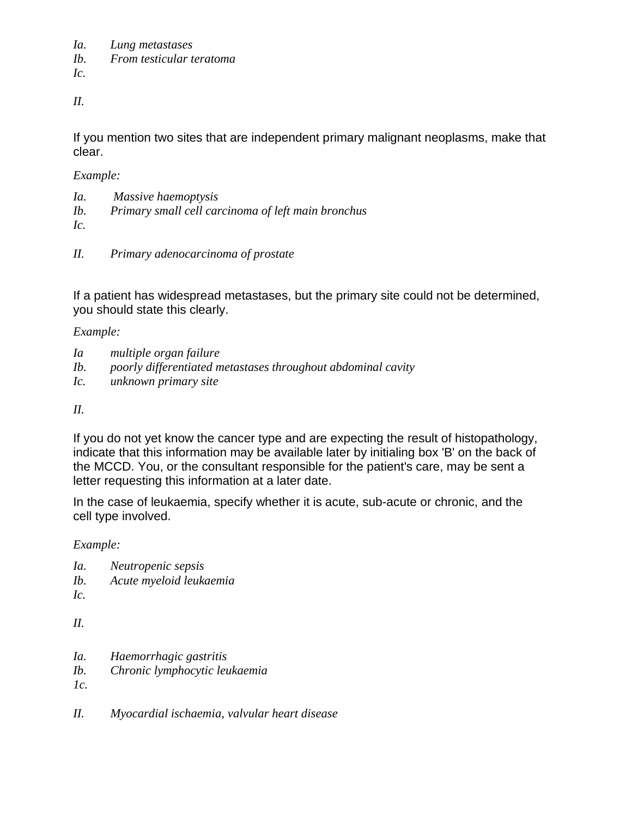*Ia. Lung metastases*

*Ib. From testicular teratoma* 

*Ic.*

*II.*

If you mention two sites that are independent primary malignant neoplasms, make that clear.

*Example:*

- *Ia. Massive haemoptysis*
- *Ib. Primary small cell carcinoma of left main bronchus*

*Ic.*

*II. Primary adenocarcinoma of prostate*

If a patient has widespread metastases, but the primary site could not be determined, you should state this clearly.

*Example:*

- *Ia multiple organ failure*
- *Ib. poorly differentiated metastases throughout abdominal cavity*
- *Ic. unknown primary site*

### *II.*

If you do not yet know the cancer type and are expecting the result of histopathology, indicate that this information may be available later by initialing box 'B' on the back of the MCCD. You, or the consultant responsible for the patient's care, may be sent a letter requesting this information at a later date.

In the case of leukaemia, specify whether it is acute, sub-acute or chronic, and the cell type involved.

*Example:*

- *Ia. Neutropenic sepsis*
- *Ib. Acute myeloid leukaemia*

*Ic.*

*II.*

- *Ia. Haemorrhagic gastritis*
- *Ib. Chronic lymphocytic leukaemia*

*1c.*

*II. Myocardial ischaemia, valvular heart disease*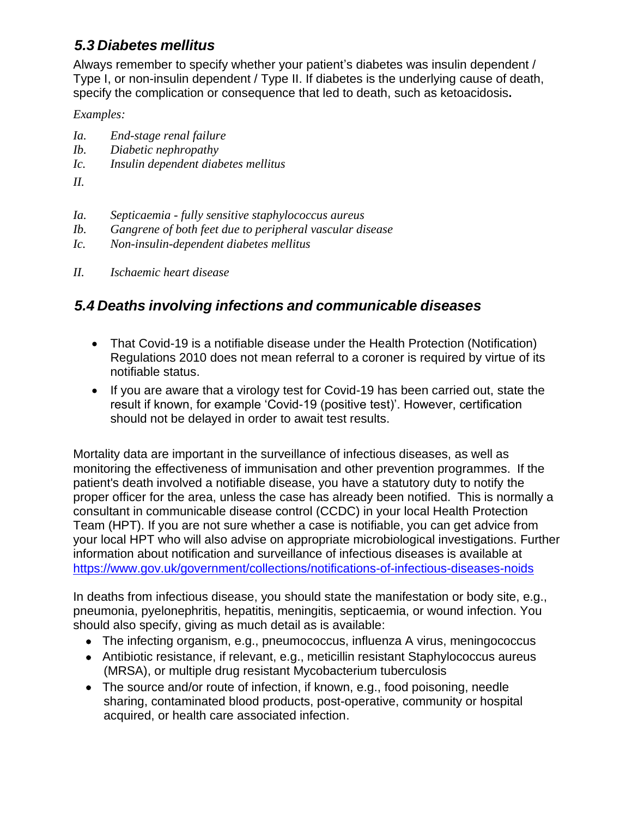## <span id="page-12-0"></span>*5.3 Diabetes mellitus*

Always remember to specify whether your patient's diabetes was insulin dependent / Type I, or non-insulin dependent / Type II. If diabetes is the underlying cause of death, specify the complication or consequence that led to death, such as ketoacidosis**.**

### *Examples:*

- *Ia. End-stage renal failure*
- *Ib. Diabetic nephropathy*
- *Ic. Insulin dependent diabetes mellitus*
- *II.*
- *Ia. Septicaemia - fully sensitive staphylococcus aureus*
- *Ib. Gangrene of both feet due to peripheral vascular disease*
- *Ic. Non-insulin-dependent diabetes mellitus*
- *II. Ischaemic heart disease*

## <span id="page-12-1"></span>*5.4 Deaths involving infections and communicable diseases*

- That Covid-19 is a notifiable disease under the Health Protection (Notification) Regulations 2010 does not mean referral to a coroner is required by virtue of its notifiable status.
- If you are aware that a virology test for Covid-19 has been carried out, state the result if known, for example 'Covid-19 (positive test)'. However, certification should not be delayed in order to await test results.

Mortality data are important in the surveillance of infectious diseases, as well as monitoring the effectiveness of immunisation and other prevention programmes. If the patient's death involved a notifiable disease, you have a statutory duty to notify the proper officer for the area, unless the case has already been notified. This is normally a consultant in communicable disease control (CCDC) in your local Health Protection Team (HPT). If you are not sure whether a case is notifiable, you can get advice from your local HPT who will also advise on appropriate microbiological investigations. Further information about notification and surveillance of infectious diseases is available at <https://www.gov.uk/government/collections/notifications-of-infectious-diseases-noids>

In deaths from infectious disease, you should state the manifestation or body site, e.g., pneumonia, pyelonephritis, hepatitis, meningitis, septicaemia, or wound infection. You should also specify, giving as much detail as is available:

- The infecting organism, e.g., pneumococcus, influenza A virus, meningococcus
- Antibiotic resistance, if relevant, e.g., meticillin resistant Staphylococcus aureus (MRSA), or multiple drug resistant Mycobacterium tuberculosis
- The source and/or route of infection, if known, e.g., food poisoning, needle sharing, contaminated blood products, post-operative, community or hospital acquired, or health care associated infection.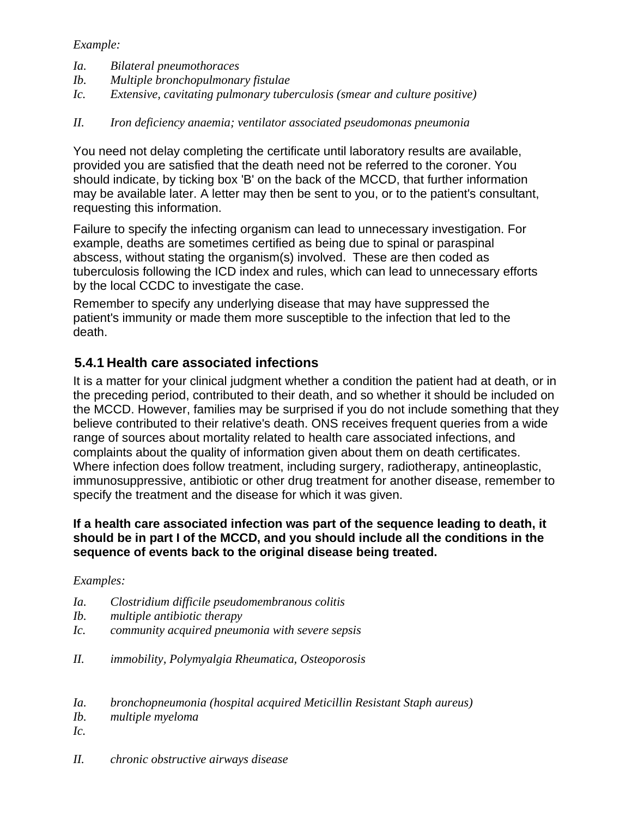#### *Example:*

- *Ia. Bilateral pneumothoraces*
- *Ib. Multiple bronchopulmonary fistulae*
- *Ic. Extensive, cavitating pulmonary tuberculosis (smear and culture positive)*

### *II. Iron deficiency anaemia; ventilator associated pseudomonas pneumonia*

You need not delay completing the certificate until laboratory results are available, provided you are satisfied that the death need not be referred to the coroner. You should indicate, by ticking box 'B' on the back of the MCCD, that further information may be available later. A letter may then be sent to you, or to the patient's consultant, requesting this information.

Failure to specify the infecting organism can lead to unnecessary investigation. For example, deaths are sometimes certified as being due to spinal or paraspinal abscess, without stating the organism(s) involved. These are then coded as tuberculosis following the ICD index and rules, which can lead to unnecessary efforts by the local CCDC to investigate the case.

Remember to specify any underlying disease that may have suppressed the patient's immunity or made them more susceptible to the infection that led to the death.

### **5.4.1 Health care associated infections**

It is a matter for your clinical judgment whether a condition the patient had at death, or in the preceding period, contributed to their death, and so whether it should be included on the MCCD. However, families may be surprised if you do not include something that they believe contributed to their relative's death. ONS receives frequent queries from a wide range of sources about mortality related to health care associated infections, and complaints about the quality of information given about them on death certificates. Where infection does follow treatment, including surgery, radiotherapy, antineoplastic, immunosuppressive, antibiotic or other drug treatment for another disease, remember to specify the treatment and the disease for which it was given.

#### **If a health care associated infection was part of the sequence leading to death, it should be in part I of the MCCD, and you should include all the conditions in the sequence of events back to the original disease being treated.**

### *Examples:*

- *Ia. Clostridium difficile pseudomembranous colitis*
- *Ib. multiple antibiotic therapy*
- *Ic. community acquired pneumonia with severe sepsis*
- *II. immobility, Polymyalgia Rheumatica, Osteoporosis*
- *Ia. bronchopneumonia (hospital acquired Meticillin Resistant Staph aureus)*
- *Ib. multiple myeloma*
- *Ic.*
- *II. chronic obstructive airways disease*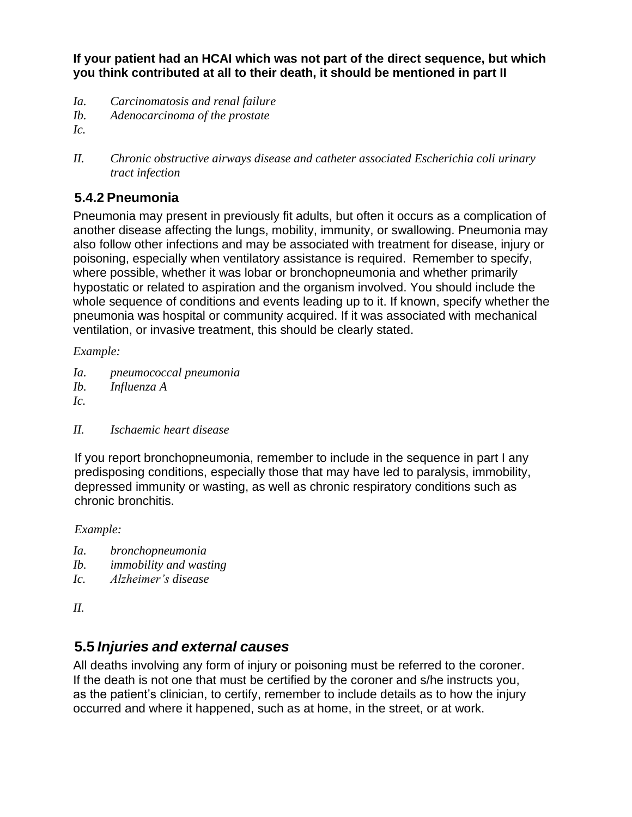**If your patient had an HCAI which was not part of the direct sequence, but which you think contributed at all to their death, it should be mentioned in part II**

- *Ia. Carcinomatosis and renal failure*
- *Ib. Adenocarcinoma of the prostate*
- *Ic.*
- *II. Chronic obstructive airways disease and catheter associated Escherichia coli urinary tract infection*

## **5.4.2 Pneumonia**

Pneumonia may present in previously fit adults, but often it occurs as a complication of another disease affecting the lungs, mobility, immunity, or swallowing. Pneumonia may also follow other infections and may be associated with treatment for disease, injury or poisoning, especially when ventilatory assistance is required. Remember to specify, where possible, whether it was lobar or bronchopneumonia and whether primarily hypostatic or related to aspiration and the organism involved. You should include the whole sequence of conditions and events leading up to it. If known, specify whether the pneumonia was hospital or community acquired. If it was associated with mechanical ventilation, or invasive treatment, this should be clearly stated.

*Example:*

- *Ia. pneumococcal pneumonia*
- *Ib. Influenza A*

*Ic.*

*II. Ischaemic heart disease*

If you report bronchopneumonia, remember to include in the sequence in part I any predisposing conditions, especially those that may have led to paralysis, immobility, depressed immunity or wasting, as well as chronic respiratory conditions such as chronic bronchitis.

*Example:*

- *Ia. bronchopneumonia*
- *Ib. immobility and wasting*
- *Ic. Alzheimer's disease*

*II.*

## <span id="page-14-0"></span>**5.5** *Injuries and external causes*

All deaths involving any form of injury or poisoning must be referred to the coroner. If the death is not one that must be certified by the coroner and s/he instructs you, as the patient's clinician, to certify, remember to include details as to how the injury occurred and where it happened, such as at home, in the street, or at work.